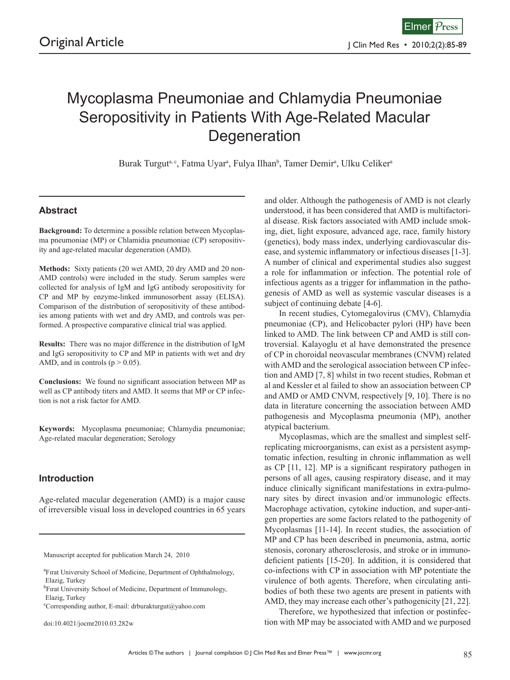# Mycoplasma Pneumoniae and Chlamydia Pneumoniae Seropositivity in Patients With Age-Related Macular **Degeneration**

Burak Turgut<sup>a, c</sup>, Fatma Uyar<sup>a</sup>, Fulya Ilhan<sup>b</sup>, Tamer Demir<sup>a</sup>, Ulku Celiker<sup>a</sup>

## **Abstract**

**Background:** To determine a possible relation between Mycoplasma pneumoniae (MP) or Chlamidia pneumoniae (CP) seropositivity and age-related macular degeneration (AMD).

**Methods:** Sixty patients (20 wet AMD, 20 dry AMD and 20 non-AMD controls) were included in the study. Serum samples were collected for analysis of IgM and IgG antibody seropositivity for CP and MP by enzyme-linked immunosorbent assay (ELISA). Comparison of the distribution of seropositivity of these antibodies among patients with wet and dry AMD, and controls was performed. A prospective comparative clinical trial was applied.

**Results:** There was no major difference in the distribution of IgM and IgG seropositivity to CP and MP in patients with wet and dry AMD, and in controls ( $p > 0.05$ ).

**Conclusions:** We found no significant association between MP as well as CP antibody titers and AMD. It seems that MP or CP infection is not a risk factor for AMD.

**Keywords:** Mycoplasma pneumoniae; Chlamydia pneumoniae; Age-related macular degeneration; Serology

### **Introduction**

Age-related macular degeneration (AMD) is a major cause of irreversible visual loss in developed countries in 65 years

Manuscript accepted for publication March 24, 2010

doi:10.4021/jocmr2010.03.282w

and older. Although the pathogenesis of AMD is not clearly understood, it has been considered that AMD is multifactorial disease. Risk factors associated with AMD include smoking, diet, light exposure, advanced age, race, family history (genetics), body mass index, underlying cardiovascular disease, and systemic inflammatory or infectious diseases [1-3]. A number of clinical and experimental studies also suggest a role for inflammation or infection. The potential role of infectious agents as a trigger for inflammation in the pathogenesis of AMD as well as systemic vascular diseases is a subject of continuing debate [4-6].

In recent studies, Cytomegalovirus (CMV), Chlamydia pneumoniae (CP), and Helicobacter pylori (HP) have been linked to AMD. The link between CP and AMD is still controversial. Kalayoglu et al have demonstrated the presence of CP in choroidal neovascular membranes (CNVM) related with AMD and the serological association between CP infection and AMD [7, 8] whilst in two recent studies, Robman et al and Kessler et al failed to show an association between CP and AMD or AMD CNVM, respectively [9, 10]. There is no data in literature concerning the association between AMD pathogenesis and Mycoplasma pneumonia (MP), another atypical bacterium.

Mycoplasmas, which are the smallest and simplest selfreplicating microorganisms, can exist as a persistent asymptomatic infection, resulting in chronic inflammation as well as CP [11, 12]. MP is a significant respiratory pathogen in persons of all ages, causing respiratory disease, and it may induce clinically significant manifestations in extra-pulmonary sites by direct invasion and/or immunologic effects. Macrophage activation, cytokine induction, and super-antigen properties are some factors related to the pathogenity of Mycoplasmas [11-14]. In recent studies, the association of MP and CP has been described in pneumonia, astma, aortic stenosis, coronary atherosclerosis, and stroke or in immunodeficient patients [15-20]. In addition, it is considered that co-infections with CP in association with MP potentiate the virulence of both agents. Therefore, when circulating antibodies of both these two agents are present in patients with AMD, they may increase each other's pathogenicity [21, 22].

Therefore, we hypothesized that infection or postinfection with MP may be associated with AMD and we purposed

<sup>&</sup>lt;sup>a</sup>Fırat University School of Medicine, Department of Ophthalmology, Elazig, Turkey

<sup>&</sup>lt;sup>b</sup>Firat University School of Medicine, Department of Immunology, Elazig, Turkey

c Corresponding author, E-mail: drburakturgut@yahoo.com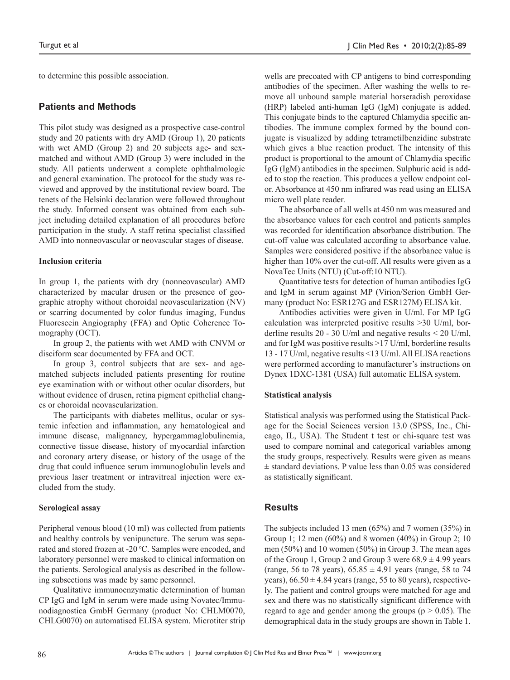to determine this possible association.

#### **Patients and Methods**

This pilot study was designed as a prospective case-control study and 20 patients with dry AMD (Group 1), 20 patients with wet AMD (Group 2) and 20 subjects age- and sexmatched and without AMD (Group 3) were included in the study. All patients underwent a complete ophthalmologic and general examination. The protocol for the study was reviewed and approved by the institutional review board. The tenets of the Helsinki declaration were followed throughout the study. Informed consent was obtained from each subject including detailed explanation of all procedures before participation in the study. A staff retina specialist classified AMD into nonneovascular or neovascular stages of disease.

#### **Inclusion criteria**

In group 1, the patients with dry (nonneovascular) AMD characterized by macular drusen or the presence of geographic atrophy without choroidal neovascularization (NV) or scarring documented by color fundus imaging, Fundus Fluorescein Angiography (FFA) and Optic Coherence Tomography (OCT).

In group 2, the patients with wet AMD with CNVM or disciform scar documented by FFA and OCT.

In group 3, control subjects that are sex- and agematched subjects included patients presenting for routine eye examination with or without other ocular disorders, but without evidence of drusen, retina pigment epithelial changes or choroidal neovascularization.

The participants with diabetes mellitus, ocular or systemic infection and inflammation, any hematological and immune disease, malignancy, hypergammaglobulinemia, connective tissue disease, history of myocardial infarction and coronary artery disease, or history of the usage of the drug that could influence serum immunoglobulin levels and previous laser treatment or intravitreal injection were excluded from the study.

#### **Serological assay**

Peripheral venous blood (10 ml) was collected from patients and healthy controls by venipuncture. The serum was separated and stored frozen at -20 °C. Samples were encoded, and laboratory personnel were masked to clinical information on the patients. Serological analysis as described in the following subsections was made by same personnel.

Qualitative immunoenzymatic determination of human CP IgG and IgM in serum were made using Novatec/Immunodiagnostica GmbH Germany (product No: CHLM0070, CHLG0070) on automatised ELISA system. Microtiter strip

wells are precoated with CP antigens to bind corresponding antibodies of the specimen. After washing the wells to remove all unbound sample material horseradish peroxidase (HRP) labeled anti-human IgG (IgM) conjugate is added. This conjugate binds to the captured Chlamydia specific antibodies. The immune complex formed by the bound conjugate is visualized by adding tetrametilbenzidine substrate which gives a blue reaction product. The intensity of this product is proportional to the amount of Chlamydia specific IgG (IgM) antibodies in the specimen. Sulphuric acid is added to stop the reaction. This produces a yellow endpoint color. Absorbance at 450 nm infrared was read using an ELISA micro well plate reader.

The absorbance of all wells at 450 nm was measured and the absorbance values for each control and patients samples was recorded for identification absorbance distribution. The cut-off value was calculated according to absorbance value. Samples were considered positive if the absorbance value is higher than 10% over the cut-off. All results were given as a NovaTec Units (NTU) (Cut-off:10 NTU).

Quantitative tests for detection of human antibodies IgG and IgM in serum against MP (Virion/Serion GmbH Germany (product No: ESR127G and ESR127M) ELISA kit.

Antibodies activities were given in U/ml. For MP IgG calculation was interpreted positive results >30 U/ml, borderline results 20 - 30 U/ml and negative results < 20 U/ml, and for IgM was positive results >17 U/ml, borderline results 13 - 17 U/ml, negative results <13 U/ml. All ELISA reactions were performed according to manufacturer's instructions on Dynex 1DXC-1381 (USA) full automatic ELISA system.

#### **Statistical analysis**

Statistical analysis was performed using the Statistical Package for the Social Sciences version 13.0 (SPSS, Inc., Chicago, IL, USA). The Student t test or chi-square test was used to compare nominal and categorical variables among the study groups, respectively. Results were given as means  $\pm$  standard deviations. P value less than 0.05 was considered as statistically significant.

#### **Results**

The subjects included 13 men (65%) and 7 women (35%) in Group 1; 12 men (60%) and 8 women (40%) in Group 2; 10 men (50%) and 10 women (50%) in Group 3. The mean ages of the Group 1, Group 2 and Group 3 were  $68.9 \pm 4.99$  years (range, 56 to 78 years),  $65.85 \pm 4.91$  years (range, 58 to 74 years),  $66.50 \pm 4.84$  years (range, 55 to 80 years), respectively. The patient and control groups were matched for age and sex and there was no statistically significant difference with regard to age and gender among the groups ( $p > 0.05$ ). The demographical data in the study groups are shown in Table 1.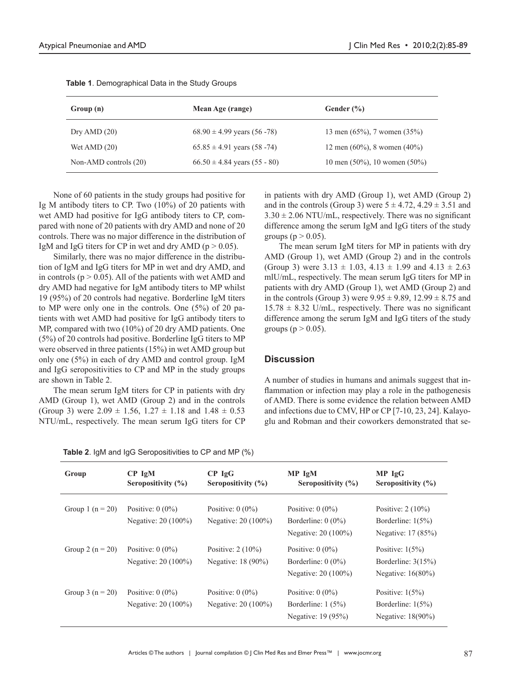| Group (n)               | Mean Age (range)                   | Gender $(\% )$                      |
|-------------------------|------------------------------------|-------------------------------------|
| Dry AMD $(20)$          | $68.90 \pm 4.99$ years (56 -78)    | 13 men $(65\%)$ , 7 women $(35\%)$  |
| Wet AMD $(20)$          | $65.85 \pm 4.91$ years (58 -74)    | 12 men $(60\%)$ , 8 women $(40\%)$  |
| Non-AMD controls $(20)$ | $66.50 \pm 4.84$ years $(55 - 80)$ | 10 men $(50\%)$ , 10 women $(50\%)$ |

|  | Table 1. Demographical Data in the Study Groups |  |  |  |
|--|-------------------------------------------------|--|--|--|
|--|-------------------------------------------------|--|--|--|

None of 60 patients in the study groups had positive for Ig M antibody titers to CP. Two (10%) of 20 patients with wet AMD had positive for IgG antibody titers to CP, compared with none of 20 patients with dry AMD and none of 20 controls. There was no major difference in the distribution of IgM and IgG titers for CP in wet and dry AMD ( $p > 0.05$ ).

Similarly, there was no major difference in the distribution of IgM and IgG titers for MP in wet and dry AMD, and in controls ( $p > 0.05$ ). All of the patients with wet AMD and dry AMD had negative for IgM antibody titers to MP whilst 19 (95%) of 20 controls had negative. Borderline IgM titers to MP were only one in the controls. One (5%) of 20 patients with wet AMD had positive for IgG antibody titers to MP, compared with two (10%) of 20 dry AMD patients. One (5%) of 20 controls had positive. Borderline IgG titers to MP were observed in three patients (15%) in wet AMD group but only one (5%) in each of dry AMD and control group. IgM and IgG seropositivities to CP and MP in the study groups are shown in Table 2.

The mean serum IgM titers for CP in patients with dry AMD (Group 1), wet AMD (Group 2) and in the controls (Group 3) were  $2.09 \pm 1.56$ ,  $1.27 \pm 1.18$  and  $1.48 \pm 0.53$ NTU/mL, respectively. The mean serum IgG titers for CP

**Table 2**. IgM and IgG Seropositivities to CP and MP (%)

in patients with dry AMD (Group 1), wet AMD (Group 2) and in the controls (Group 3) were  $5 \pm 4.72$ ,  $4.29 \pm 3.51$  and  $3.30 \pm 2.06$  NTU/mL, respectively. There was no significant difference among the serum IgM and IgG titers of the study groups ( $p > 0.05$ ).

The mean serum IgM titers for MP in patients with dry AMD (Group 1), wet AMD (Group 2) and in the controls (Group 3) were  $3.13 \pm 1.03$ ,  $4.13 \pm 1.99$  and  $4.13 \pm 2.63$ mlU/mL, respectively. The mean serum IgG titers for MP in patients with dry AMD (Group 1), wet AMD (Group 2) and in the controls (Group 3) were  $9.95 \pm 9.89$ ,  $12.99 \pm 8.75$  and  $15.78 \pm 8.32$  U/mL, respectively. There was no significant difference among the serum IgM and IgG titers of the study groups ( $p > 0.05$ ).

#### **Discussion**

A number of studies in humans and animals suggest that inflammation or infection may play a role in the pathogenesis of AMD. There is some evidence the relation between AMD and infections due to CMV, HP or CP [7-10, 23, 24]. Kalayoglu and Robman and their coworkers demonstrated that se-

| Group                | $CP$ IgM<br>Seropositivity $(\% )$        | $CP$ IgG<br>Seropositivity (%)            | MP IgM<br>Seropositivity $(\% )$                                  | MP IgG<br>Seropositivity $(\% )$                                   |
|----------------------|-------------------------------------------|-------------------------------------------|-------------------------------------------------------------------|--------------------------------------------------------------------|
| Group 1 ( $n = 20$ ) | Positive: $0(0\%)$<br>Negative: 20 (100%) | Positive: $0(0\%)$<br>Negative: 20 (100%) | Positive: $0(0\%)$<br>Borderline: $0(0\%)$<br>Negative: 20 (100%) | Positive: $2(10\%)$<br>Borderline: $1(5\%)$<br>Negative: 17 (85%)  |
| Group 2 ( $n = 20$ ) | Positive: $0(0\%)$<br>Negative: 20 (100%) | Positive: $2(10\%)$<br>Negative: 18 (90%) | Positive: $0(0\%)$<br>Borderline: $0(0\%)$<br>Negative: 20 (100%) | Positive: $1(5\%)$<br>Borderline: $3(15%)$<br>Negative: $16(80\%)$ |
| Group 3 ( $n = 20$ ) | Positive: $0(0\%)$<br>Negative: 20 (100%) | Positive: $0(0\%)$<br>Negative: 20 (100%) | Positive: $0(0\%)$<br>Borderline: $1(5%)$<br>Negative: 19 (95%)   | Positive: $1(5%)$<br>Borderline: $1(5\%)$<br>Negative: 18(90%)     |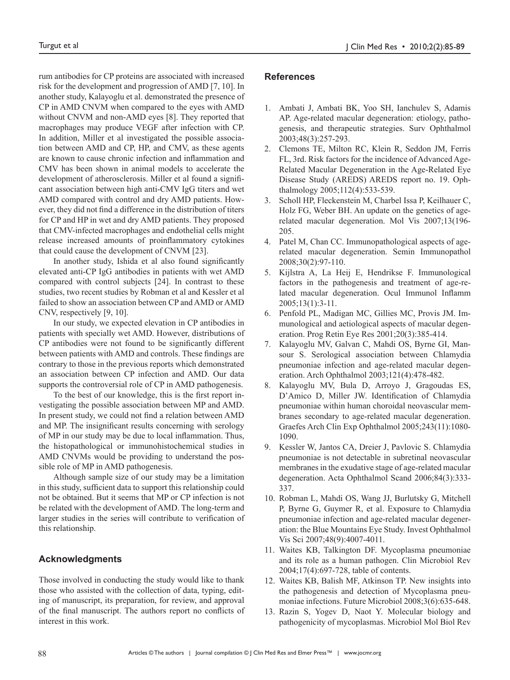rum antibodies for CP proteins are associated with increased risk for the development and progression of AMD [7, 10]. In another study, Kalayoglu et al. demonstrated the presence of CP in AMD CNVM when compared to the eyes with AMD without CNVM and non-AMD eyes [8]. They reported that macrophages may produce VEGF after infection with CP. In addition, Miller et al investigated the possible association between AMD and CP, HP, and CMV, as these agents are known to cause chronic infection and inflammation and CMV has been shown in animal models to accelerate the development of atherosclerosis. Miller et al found a significant association between high anti-CMV IgG titers and wet AMD compared with control and dry AMD patients. However, they did not find a difference in the distribution of titers for CP and HP in wet and dry AMD patients. They proposed that CMV-infected macrophages and endothelial cells might release increased amounts of proinflammatory cytokines that could cause the development of CNVM [23].

In another study, Ishida et al also found significantly elevated anti-CP IgG antibodies in patients with wet AMD compared with control subjects [24]. In contrast to these studies, two recent studies by Robman et al and Kessler et al failed to show an association between CP and AMD or AMD CNV, respectively [9, 10].

In our study, we expected elevation in CP antibodies in patients with specially wet AMD. However, distributions of CP antibodies were not found to be significantly different between patients with AMD and controls. These findings are contrary to those in the previous reports which demonstrated an association between CP infection and AMD. Our data supports the controversial role of CP in AMD pathogenesis.

To the best of our knowledge, this is the first report investigating the possible association between MP and AMD. In present study, we could not find a relation between AMD and MP. The insignificant results concerning with serology of MP in our study may be due to local inflammation. Thus, the histopathological or immunohistochemical studies in AMD CNVMs would be providing to understand the possible role of MP in AMD pathogenesis.

Although sample size of our study may be a limitation in this study, sufficient data to support this relationship could not be obtained. But it seems that MP or CP infection is not be related with the development of AMD. The long-term and larger studies in the series will contribute to verification of this relationship.

# **Acknowledgments**

Those involved in conducting the study would like to thank those who assisted with the collection of data, typing, editing of manuscript, its preparation, for review, and approval of the final manuscript. The authors report no conflicts of interest in this work.

## **References**

- 1. Ambati J, Ambati BK, Yoo SH, Ianchulev S, Adamis AP. Age-related macular degeneration: etiology, pathogenesis, and therapeutic strategies. Surv Ophthalmol 2003;48(3):257-293.
- 2. Clemons TE, Milton RC, Klein R, Seddon JM, Ferris FL, 3rd. Risk factors for the incidence of Advanced Age-Related Macular Degeneration in the Age-Related Eye Disease Study (AREDS) AREDS report no. 19. Ophthalmology 2005;112(4):533-539.
- 3. Scholl HP, Fleckenstein M, Charbel Issa P, Keilhauer C, Holz FG, Weber BH. An update on the genetics of agerelated macular degeneration. Mol Vis 2007;13(196- 205.
- 4. Patel M, Chan CC. Immunopathological aspects of agerelated macular degeneration. Semin Immunopathol 2008;30(2):97-110.
- 5. Kijlstra A, La Heij E, Hendrikse F. Immunological factors in the pathogenesis and treatment of age-related macular degeneration. Ocul Immunol Inflamm 2005;13(1):3-11.
- 6. Penfold PL, Madigan MC, Gillies MC, Provis JM. Immunological and aetiological aspects of macular degeneration. Prog Retin Eye Res 2001;20(3):385-414.
- 7. Kalayoglu MV, Galvan C, Mahdi OS, Byrne GI, Mansour S. Serological association between Chlamydia pneumoniae infection and age-related macular degeneration. Arch Ophthalmol 2003;121(4):478-482.
- 8. Kalayoglu MV, Bula D, Arroyo J, Gragoudas ES, D'Amico D, Miller JW. Identification of Chlamydia pneumoniae within human choroidal neovascular membranes secondary to age-related macular degeneration. Graefes Arch Clin Exp Ophthalmol 2005;243(11):1080- 1090.
- 9. Kessler W, Jantos CA, Dreier J, Pavlovic S. Chlamydia pneumoniae is not detectable in subretinal neovascular membranes in the exudative stage of age-related macular degeneration. Acta Ophthalmol Scand 2006;84(3):333- 337.
- 10. Robman L, Mahdi OS, Wang JJ, Burlutsky G, Mitchell P, Byrne G, Guymer R, et al. Exposure to Chlamydia pneumoniae infection and age-related macular degeneration: the Blue Mountains Eye Study. Invest Ophthalmol Vis Sci 2007;48(9):4007-4011.
- 11. Waites KB, Talkington DF. Mycoplasma pneumoniae and its role as a human pathogen. Clin Microbiol Rev 2004;17(4):697-728, table of contents.
- 12. Waites KB, Balish MF, Atkinson TP. New insights into the pathogenesis and detection of Mycoplasma pneumoniae infections. Future Microbiol 2008;3(6):635-648.
- 13. Razin S, Yogev D, Naot Y. Molecular biology and pathogenicity of mycoplasmas. Microbiol Mol Biol Rev